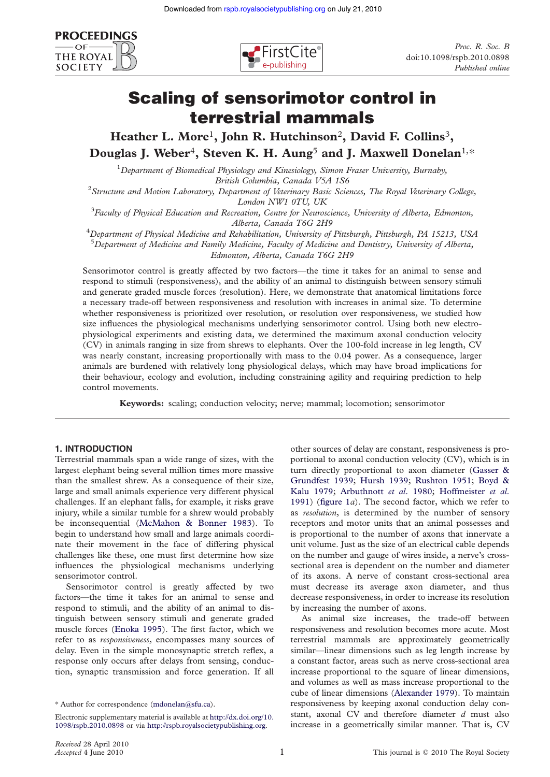



# Scaling of sensorimotor control in terrestrial mammals

Heather L. More<sup>1</sup>, John R. Hutchinson<sup>2</sup>, David F. Collins<sup>3</sup>, Douglas J. Weber<sup>4</sup>, Steven K. H. Aung<sup>5</sup> and J. Maxwell Donelan<sup>1,\*</sup>

<sup>1</sup>Department of Biomedical Physiology and Kinesiology, Simon Fraser University, Burnaby,

British Columbia, Canada V5A 1S6<br><sup>2</sup>Structure and Motion Laboratory, Department of Veterinary Basic Sciences, The Royal Veterinary College,

London NW1 0TU, UK<br><sup>3</sup>Faculty of Physical Education and Recreation, Centre for Neuroscience, University of Alberta, Edmonton,

Alberta, Canada T6G 2H9<br><sup>4</sup>Department of Physical Medicine and Rehabilitation, University of Pittsburgh, Pittsburgh, PA 15213, USA  $^5$ Department of Medicine and Family Medicine, Faculty of Medicine and Dentistry, University of Alberta,

Edmonton, Alberta, Canada T6G 2H9

Sensorimotor control is greatly affected by two factors—the time it takes for an animal to sense and respond to stimuli (responsiveness), and the ability of an animal to distinguish between sensory stimuli and generate graded muscle forces (resolution). Here, we demonstrate that anatomical limitations force a necessary trade-off between responsiveness and resolution with increases in animal size. To determine whether responsiveness is prioritized over resolution, or resolution over responsiveness, we studied how size influences the physiological mechanisms underlying sensorimotor control. Using both new electrophysiological experiments and existing data, we determined the maximum axonal conduction velocity (CV) in animals ranging in size from shrews to elephants. Over the 100-fold increase in leg length, CV was nearly constant, increasing proportionally with mass to the 0.04 power. As a consequence, larger animals are burdened with relatively long physiological delays, which may have broad implications for their behaviour, ecology and evolution, including constraining agility and requiring prediction to help control movements.

Keywords: scaling; conduction velocity; nerve; mammal; locomotion; sensorimotor

# 1. INTRODUCTION

Terrestrial mammals span a wide range of sizes, with the largest elephant being several million times more massive than the smallest shrew. As a consequence of their size, large and small animals experience very different physical challenges. If an elephant falls, for example, it risks grave injury, while a similar tumble for a shrew would probably be inconsequential ([McMahon & Bonner 1983\)](#page-5-0). To begin to understand how small and large animals coordinate their movement in the face of differing physical challenges like these, one must first determine how size influences the physiological mechanisms underlying sensorimotor control.

Sensorimotor control is greatly affected by two factors—the time it takes for an animal to sense and respond to stimuli, and the ability of an animal to distinguish between sensory stimuli and generate graded muscle forces [\(Enoka 1995](#page-5-0)). The first factor, which we refer to as responsiveness, encompasses many sources of delay. Even in the simple monosynaptic stretch reflex, a response only occurs after delays from sensing, conduction, synaptic transmission and force generation. If all other sources of delay are constant, responsiveness is proportional to axonal conduction velocity (CV), which is in turn directly proportional to axon diameter ([Gasser &](#page-5-0) [Grundfest 1939;](#page-5-0) [Hursh 1939](#page-5-0); [Rushton 1951;](#page-5-0) [Boyd &](#page-5-0) [Kalu 1979;](#page-5-0) [Arbuthnott](#page-5-0) et al. 1980; [Hoffmeister](#page-5-0) et al. [1991\)](#page-5-0) (figure  $1a$ ). The second factor, which we refer to as resolution, is determined by the number of sensory receptors and motor units that an animal possesses and is proportional to the number of axons that innervate a unit volume. Just as the size of an electrical cable depends on the number and gauge of wires inside, a nerve's crosssectional area is dependent on the number and diameter of its axons. A nerve of constant cross-sectional area must decrease its average axon diameter, and thus decrease responsiveness, in order to increase its resolution by increasing the number of axons.

As animal size increases, the trade-off between responsiveness and resolution becomes more acute. Most terrestrial mammals are approximately geometrically similar—linear dimensions such as leg length increase by a constant factor, areas such as nerve cross-sectional area increase proportional to the square of linear dimensions, and volumes as well as mass increase proportional to the cube of linear dimensions ([Alexander 1979\)](#page-5-0). To maintain responsiveness by keeping axonal conduction delay constant, axonal CV and therefore diameter  $d$  must also increase in a geometrically similar manner. That is, CV

<sup>\*</sup> Author for correspondence ([mdonelan@sfu.ca\)](mailto:mdonelan@sfu.ca).

Electronic supplementary material is available at [http://dx.doi.org/10.](http://dx.doi.org/10.1098/rspb.2010.0898) [1098/rspb.2010.0898](http://dx.doi.org/10.1098/rspb.2010.0898) or via <http://rspb.royalsocietypublishing.org>.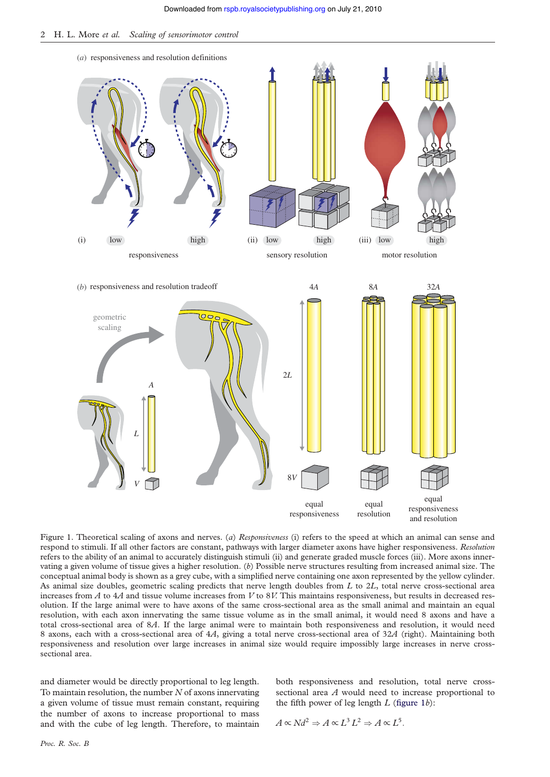

Figure 1. Theoretical scaling of axons and nerves. (a) Responsiveness (i) refers to the speed at which an animal can sense and respond to stimuli. If all other factors are constant, pathways with larger diameter axons have higher responsiveness. Resolution refers to the ability of an animal to accurately distinguish stimuli (ii) and generate graded muscle forces (iii). More axons innervating a given volume of tissue gives a higher resolution. (b) Possible nerve structures resulting from increased animal size. The conceptual animal body is shown as a grey cube, with a simplified nerve containing one axon represented by the yellow cylinder. As animal size doubles, geometric scaling predicts that nerve length doubles from  $L$  to  $2L$ , total nerve cross-sectional area increases from  $A$  to  $4A$  and tissue volume increases from  $V$  to  $8V$ . This maintains responsiveness, but results in decreased resolution. If the large animal were to have axons of the same cross-sectional area as the small animal and maintain an equal resolution, with each axon innervating the same tissue volume as in the small animal, it would need 8 axons and have a total cross-sectional area of 8A. If the large animal were to maintain both responsiveness and resolution, it would need 8 axons, each with a cross-sectional area of 4A, giving a total nerve cross-sectional area of 32A (right). Maintaining both responsiveness and resolution over large increases in animal size would require impossibly large increases in nerve crosssectional area.

<span id="page-1-0"></span>and diameter would be directly proportional to leg length. To maintain resolution, the number  $N$  of axons innervating a given volume of tissue must remain constant, requiring the number of axons to increase proportional to mass and with the cube of leg length. Therefore, to maintain

both responsiveness and resolution, total nerve crosssectional area A would need to increase proportional to the fifth power of leg length  $L$  [\(figure 1](#page-1-0)b):

$$
A \propto Nd^2 \Rightarrow A \propto L^3 L^2 \Rightarrow A \propto L^5.
$$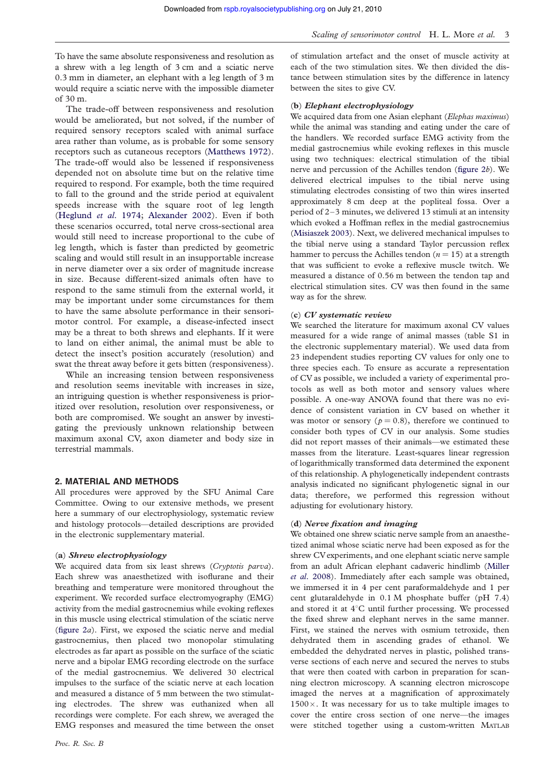To have the same absolute responsiveness and resolution as a shrew with a leg length of 3 cm and a sciatic nerve 0.3 mm in diameter, an elephant with a leg length of 3 m would require a sciatic nerve with the impossible diameter of 30 m.

The trade-off between responsiveness and resolution would be ameliorated, but not solved, if the number of required sensory receptors scaled with animal surface area rather than volume, as is probable for some sensory receptors such as cutaneous receptors ([Matthews 1972](#page-5-0)). The trade-off would also be lessened if responsiveness depended not on absolute time but on the relative time required to respond. For example, both the time required to fall to the ground and the stride period at equivalent speeds increase with the square root of leg length [\(Heglund](#page-5-0) et al. 1974; [Alexander 2002](#page-5-0)). Even if both these scenarios occurred, total nerve cross-sectional area would still need to increase proportional to the cube of leg length, which is faster than predicted by geometric scaling and would still result in an insupportable increase in nerve diameter over a six order of magnitude increase in size. Because different-sized animals often have to respond to the same stimuli from the external world, it may be important under some circumstances for them to have the same absolute performance in their sensorimotor control. For example, a disease-infected insect may be a threat to both shrews and elephants. If it were to land on either animal, the animal must be able to detect the insect's position accurately (resolution) and swat the threat away before it gets bitten (responsiveness).

While an increasing tension between responsiveness and resolution seems inevitable with increases in size, an intriguing question is whether responsiveness is prioritized over resolution, resolution over responsiveness, or both are compromised. We sought an answer by investigating the previously unknown relationship between maximum axonal CV, axon diameter and body size in terrestrial mammals.

### 2. MATERIAL AND METHODS

All procedures were approved by the SFU Animal Care Committee. Owing to our extensive methods, we present here a summary of our electrophysiology, systematic review and histology protocols—detailed descriptions are provided in the electronic supplementary material.

#### (a) Shrew electrophysiology

We acquired data from six least shrews (Cryptotis parva). Each shrew was anaesthetized with isoflurane and their breathing and temperature were monitored throughout the experiment. We recorded surface electromyography (EMG) activity from the medial gastrocnemius while evoking reflexes in this muscle using electrical stimulation of the sciatic nerve ([figure 2](#page-3-0)a). First, we exposed the sciatic nerve and medial gastrocnemius, then placed two monopolar stimulating electrodes as far apart as possible on the surface of the sciatic nerve and a bipolar EMG recording electrode on the surface of the medial gastrocnemius. We delivered 30 electrical impulses to the surface of the sciatic nerve at each location and measured a distance of 5 mm between the two stimulating electrodes. The shrew was euthanized when all recordings were complete. For each shrew, we averaged the EMG responses and measured the time between the onset of stimulation artefact and the onset of muscle activity at each of the two stimulation sites. We then divided the distance between stimulation sites by the difference in latency between the sites to give CV.

### (b) Elephant electrophysiology

We acquired data from one Asian elephant (Elephas maximus) while the animal was standing and eating under the care of the handlers. We recorded surface EMG activity from the medial gastrocnemius while evoking reflexes in this muscle using two techniques: electrical stimulation of the tibial nerve and percussion of the Achilles tendon [\(figure 2](#page-3-0)b). We delivered electrical impulses to the tibial nerve using stimulating electrodes consisting of two thin wires inserted approximately 8 cm deep at the popliteal fossa. Over a period of 2–3 minutes, we delivered 13 stimuli at an intensity which evoked a Hoffman reflex in the medial gastrocnemius ([Misiaszek 2003](#page-5-0)). Next, we delivered mechanical impulses to the tibial nerve using a standard Taylor percussion reflex hammer to percuss the Achilles tendon ( $n = 15$ ) at a strength that was sufficient to evoke a reflexive muscle twitch. We measured a distance of 0.56 m between the tendon tap and electrical stimulation sites. CV was then found in the same way as for the shrew.

#### (c) CV systematic review

We searched the literature for maximum axonal CV values measured for a wide range of animal masses (table S1 in the electronic supplementary material). We used data from 23 independent studies reporting CV values for only one to three species each. To ensure as accurate a representation of CV as possible, we included a variety of experimental protocols as well as both motor and sensory values where possible. A one-way ANOVA found that there was no evidence of consistent variation in CV based on whether it was motor or sensory ( $p = 0.8$ ), therefore we continued to consider both types of CV in our analysis. Some studies did not report masses of their animals—we estimated these masses from the literature. Least-squares linear regression of logarithmically transformed data determined the exponent of this relationship. A phylogenetically independent contrasts analysis indicated no significant phylogenetic signal in our data; therefore, we performed this regression without adjusting for evolutionary history.

## (d) Nerve fixation and imaging

We obtained one shrew sciatic nerve sample from an anaesthetized animal whose sciatic nerve had been exposed as for the shrew CV experiments, and one elephant sciatic nerve sample from an adult African elephant cadaveric hindlimb ([Miller](#page-5-0) et al[. 2008](#page-5-0)). Immediately after each sample was obtained, we immersed it in 4 per cent paraformaldehyde and 1 per cent glutaraldehyde in 0.1 M phosphate buffer (pH 7.4) and stored it at  $4^{\circ}$ C until further processing. We processed the fixed shrew and elephant nerves in the same manner. First, we stained the nerves with osmium tetroxide, then dehydrated them in ascending grades of ethanol. We embedded the dehydrated nerves in plastic, polished transverse sections of each nerve and secured the nerves to stubs that were then coated with carbon in preparation for scanning electron microscopy. A scanning electron microscope imaged the nerves at a magnification of approximately  $1500 \times$ . It was necessary for us to take multiple images to cover the entire cross section of one nerve—the images were stitched together using a custom-written MATLAB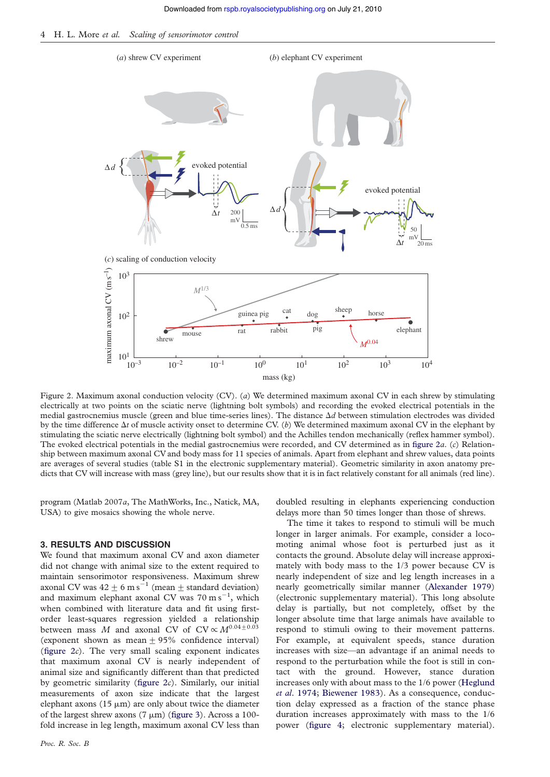

Figure 2. Maximum axonal conduction velocity (CV). (a) We determined maximum axonal CV in each shrew by stimulating electrically at two points on the sciatic nerve (lightning bolt symbols) and recording the evoked electrical potentials in the medial gastrocnemius muscle (green and blue time-series lines). The distance  $\Delta d$  between stimulation electrodes was divided by the time difference  $\Delta t$  of muscle activity onset to determine CV. (b) We determined maximum axonal CV in the elephant by stimulating the sciatic nerve electrically (lightning bolt symbol) and the Achilles tendon mechanically (reflex hammer symbol). The evoked electrical potentials in the medial gastrocnemius were recorded, and CV determined as in [figure 2](#page-3-0)a. (c) Relationship between maximum axonal CV and body mass for 11 species of animals. Apart from elephant and shrew values, data points are averages of several studies (table S1 in the electronic supplementary material). Geometric similarity in axon anatomy predicts that CV will increase with mass (grey line), but our results show that it is in fact relatively constant for all animals (red line).

program (Matlab 2007a, The MathWorks, Inc., Natick, MA, USA) to give mosaics showing the whole nerve.

## 3. RESULTS AND DISCUSSION

<span id="page-3-0"></span>We found that maximum axonal CV and axon diameter did not change with animal size to the extent required to maintain sensorimotor responsiveness. Maximum shrew axonal CV was  $42 \pm 6$  m s<sup>21</sup> (mean  $\pm$  standard deviation) and maximum elephant axonal CV was  $70 \text{ m s}^{-1}$ , which when combined with literature data and fit using firstorder least-squares regression yielded a relationship between mass M and axonal CV of  $CV \propto M^{0.04 \pm 0.03}$ (exponent shown as mean  $\pm$  95% confidence interval) (figure  $2c$ ). The very small scaling exponent indicates that maximum axonal CV is nearly independent of animal size and significantly different than that predicted by geometric similarity (figure  $2c$ ). Similarly, our initial measurements of axon size indicate that the largest elephant axons (15  $\mu$ m) are only about twice the diameter of the largest shrew axons  $(7 \mu m)$  [\(figure 3](#page-4-0)). Across a 100fold increase in leg length, maximum axonal CV less than

doubled resulting in elephants experiencing conduction delays more than 50 times longer than those of shrews.

The time it takes to respond to stimuli will be much longer in larger animals. For example, consider a locomoting animal whose foot is perturbed just as it contacts the ground. Absolute delay will increase approximately with body mass to the 1/3 power because CV is nearly independent of size and leg length increases in a nearly geometrically similar manner ([Alexander 1979](#page-5-0)) (electronic supplementary material). This long absolute delay is partially, but not completely, offset by the longer absolute time that large animals have available to respond to stimuli owing to their movement patterns. For example, at equivalent speeds, stance duration increases with size—an advantage if an animal needs to respond to the perturbation while the foot is still in contact with the ground. However, stance duration increases only with about mass to the 1/6 power [\(Heglund](#page-5-0) et al[. 1974;](#page-5-0) [Biewener 1983](#page-5-0)). As a consequence, conduction delay expressed as a fraction of the stance phase duration increases approximately with mass to the 1/6 power [\(figure 4](#page-4-0); electronic supplementary material).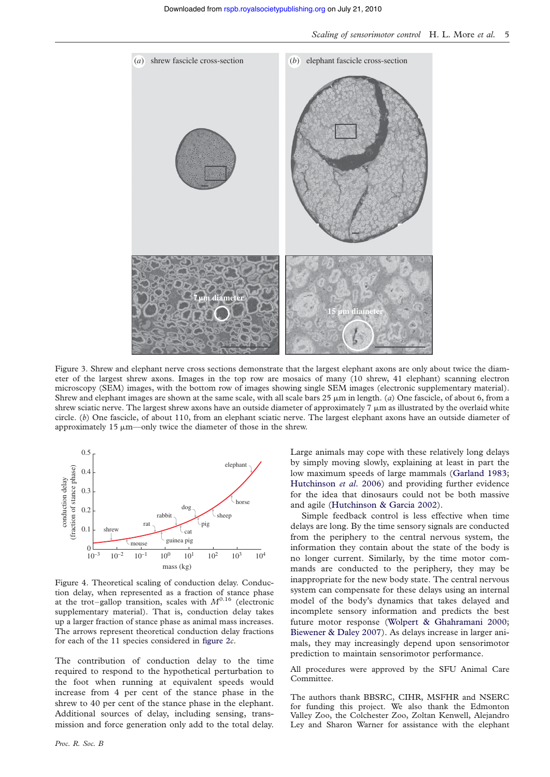

Figure 3. Shrew and elephant nerve cross sections demonstrate that the largest elephant axons are only about twice the diameter of the largest shrew axons. Images in the top row are mosaics of many (10 shrew, 41 elephant) scanning electron microscopy (SEM) images, with the bottom row of images showing single SEM images (electronic supplementary material). Shrew and elephant images are shown at the same scale, with all scale bars  $25 \mu m$  in length. (a) One fascicle, of about 6, from a shrew sciatic nerve. The largest shrew axons have an outside diameter of approximately  $7 \mu m$  as illustrated by the overlaid white circle.  $(b)$  One fascicle, of about 110, from an elephant sciatic nerve. The largest elephant axons have an outside diameter of approximately 15  $\mu$ m—only twice the diameter of those in the shrew.



Figure 4. Theoretical scaling of conduction delay. Conduction delay, when represented as a fraction of stance phase at the trot–gallop transition, scales with  $M^{0.16}$  (electronic supplementary material). That is, conduction delay takes up a larger fraction of stance phase as animal mass increases. The arrows represent theoretical conduction delay fractions for each of the 11 species considered in [figure 2](#page-3-0)c.

<span id="page-4-0"></span>The contribution of conduction delay to the time required to respond to the hypothetical perturbation to the foot when running at equivalent speeds would increase from 4 per cent of the stance phase in the shrew to 40 per cent of the stance phase in the elephant. Additional sources of delay, including sensing, transmission and force generation only add to the total delay.

Large animals may cope with these relatively long delays by simply moving slowly, explaining at least in part the low maximum speeds of large mammals [\(Garland 1983;](#page-5-0) [Hutchinson](#page-5-0) et al. 2006) and providing further evidence for the idea that dinosaurs could not be both massive and agile [\(Hutchinson & Garcia 2002](#page-5-0)).

Simple feedback control is less effective when time delays are long. By the time sensory signals are conducted from the periphery to the central nervous system, the information they contain about the state of the body is no longer current. Similarly, by the time motor commands are conducted to the periphery, they may be inappropriate for the new body state. The central nervous system can compensate for these delays using an internal model of the body's dynamics that takes delayed and incomplete sensory information and predicts the best future motor response [\(Wolpert & Ghahramani 2000;](#page-5-0) [Biewener & Daley 2007\)](#page-5-0). As delays increase in larger animals, they may increasingly depend upon sensorimotor prediction to maintain sensorimotor performance.

All procedures were approved by the SFU Animal Care Committee.

The authors thank BBSRC, CIHR, MSFHR and NSERC for funding this project. We also thank the Edmonton Valley Zoo, the Colchester Zoo, Zoltan Kenwell, Alejandro Ley and Sharon Warner for assistance with the elephant